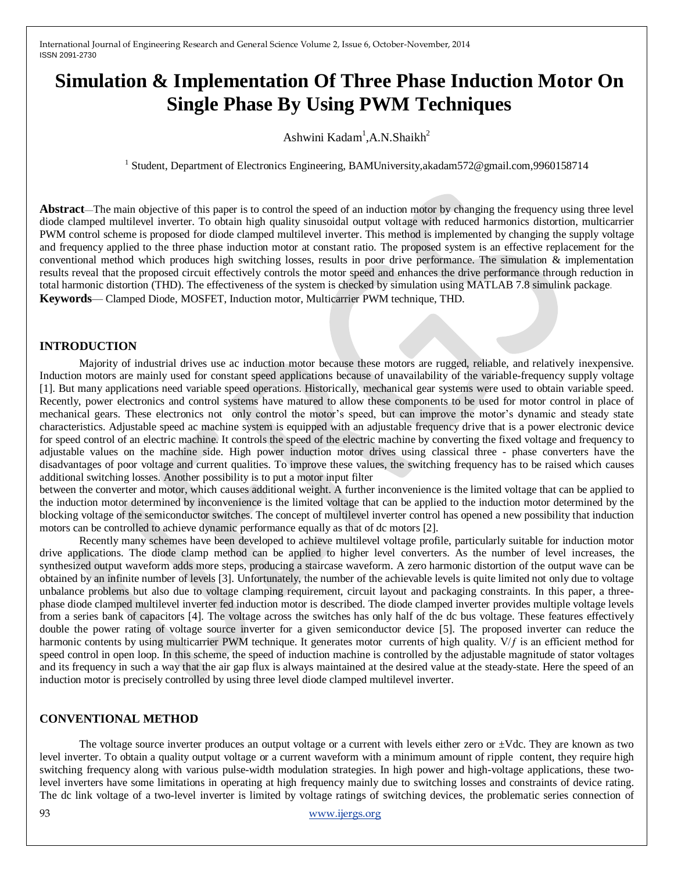# **Simulation & Implementation Of Three Phase Induction Motor On Single Phase By Using PWM Techniques**

Ashwini Kadam<sup>1</sup>, A.N. Shaikh<sup>2</sup>

<sup>1</sup> Student, Department of Electronics Engineering, BAMUniversity, akadam572@gmail.com, 9960158714

**Abstract**—The main objective of this paper is to control the speed of an induction motor by changing the frequency using three level diode clamped multilevel inverter. To obtain high quality sinusoidal output voltage with reduced harmonics distortion, multicarrier PWM control scheme is proposed for diode clamped multilevel inverter. This method is implemented by changing the supply voltage and frequency applied to the three phase induction motor at constant ratio. The proposed system is an effective replacement for the conventional method which produces high switching losses, results in poor drive performance. The simulation & implementation results reveal that the proposed circuit effectively controls the motor speed and enhances the drive performance through reduction in total harmonic distortion (THD). The effectiveness of the system is checked by simulation using MATLAB 7.8 simulink package. **Keywords**— Clamped Diode, MOSFET, Induction motor, Multicarrier PWM technique, THD.

#### **INTRODUCTION**

Majority of industrial drives use ac induction motor because these motors are rugged, reliable, and relatively inexpensive. Induction motors are mainly used for constant speed applications because of unavailability of the variable-frequency supply voltage [1]. But many applications need variable speed operations. Historically, mechanical gear systems were used to obtain variable speed. Recently, power electronics and control systems have matured to allow these components to be used for motor control in place of mechanical gears. These electronics not only control the motor's speed, but can improve the motor's dynamic and steady state characteristics. Adjustable speed ac machine system is equipped with an adjustable frequency drive that is a power electronic device for speed control of an electric machine. It controls the speed of the electric machine by converting the fixed voltage and frequency to adjustable values on the machine side. High power induction motor drives using classical three - phase converters have the disadvantages of poor voltage and current qualities. To improve these values, the switching frequency has to be raised which causes additional switching losses. Another possibility is to put a motor input filter

between the converter and motor, which causes additional weight. A further inconvenience is the limited voltage that can be applied to the induction motor determined by inconvenience is the limited voltage that can be applied to the induction motor determined by the blocking voltage of the semiconductor switches. The concept of multilevel inverter control has opened a new possibility that induction motors can be controlled to achieve dynamic performance equally as that of dc motors [2].

Recently many schemes have been developed to achieve multilevel voltage profile, particularly suitable for induction motor drive applications. The diode clamp method can be applied to higher level converters. As the number of level increases, the synthesized output waveform adds more steps, producing a staircase waveform. A zero harmonic distortion of the output wave can be obtained by an infinite number of levels [3]. Unfortunately, the number of the achievable levels is quite limited not only due to voltage unbalance problems but also due to voltage clamping requirement, circuit layout and packaging constraints. In this paper, a threephase diode clamped multilevel inverter fed induction motor is described. The diode clamped inverter provides multiple voltage levels from a series bank of capacitors [4]. The voltage across the switches has only half of the dc bus voltage. These features effectively double the power rating of voltage source inverter for a given semiconductor device [5]. The proposed inverter can reduce the harmonic contents by using multicarrier PWM technique. It generates motor currents of high quality.  $V/f$  is an efficient method for speed control in open loop. In this scheme, the speed of induction machine is controlled by the adjustable magnitude of stator voltages and its frequency in such a way that the air gap flux is always maintained at the desired value at the steady-state. Here the speed of an induction motor is precisely controlled by using three level diode clamped multilevel inverter.

#### **CONVENTIONAL METHOD**

The voltage source inverter produces an output voltage or a current with levels either zero or  $\pm$ Vdc. They are known as two level inverter. To obtain a quality output voltage or a current waveform with a minimum amount of ripple content, they require high switching frequency along with various pulse-width modulation strategies. In high power and high-voltage applications, these twolevel inverters have some limitations in operating at high frequency mainly due to switching losses and constraints of device rating. The dc link voltage of a two-level inverter is limited by voltage ratings of switching devices, the problematic series connection of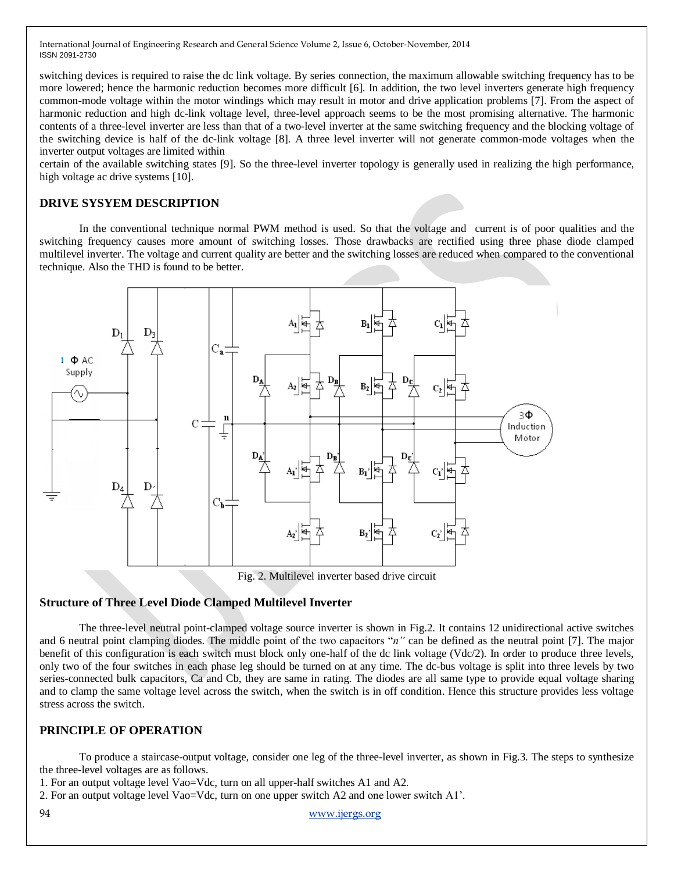switching devices is required to raise the dc link voltage. By series connection, the maximum allowable switching frequency has to be more lowered; hence the harmonic reduction becomes more difficult [6]. In addition, the two level inverters generate high frequency common-mode voltage within the motor windings which may result in motor and drive application problems [7]. From the aspect of harmonic reduction and high dc-link voltage level, three-level approach seems to be the most promising alternative. The harmonic contents of a three-level inverter are less than that of a two-level inverter at the same switching frequency and the blocking voltage of the switching device is half of the dc-link voltage [8]. A three level inverter will not generate common-mode voltages when the inverter output voltages are limited within

certain of the available switching states [9]. So the three-level inverter topology is generally used in realizing the high performance, high voltage ac drive systems [10].

# **DRIVE SYSYEM DESCRIPTION**

In the conventional technique normal PWM method is used. So that the voltage and current is of poor qualities and the switching frequency causes more amount of switching losses. Those drawbacks are rectified using three phase diode clamped multilevel inverter. The voltage and current quality are better and the switching losses are reduced when compared to the conventional technique. Also the THD is found to be better.



Fig. 2. Multilevel inverter based drive circuit

## **Structure of Three Level Diode Clamped Multilevel Inverter**

The three-level neutral point-clamped voltage source inverter is shown in Fig.2. It contains 12 unidirectional active switches and 6 neutral point clamping diodes. The middle point of the two capacitors "*n*" can be defined as the neutral point [7]. The major benefit of this configuration is each switch must block only one-half of the dc link voltage (Vdc/2). In order to produce three levels, only two of the four switches in each phase leg should be turned on at any time. The dc-bus voltage is split into three levels by two series-connected bulk capacitors, Ca and Cb, they are same in rating. The diodes are all same type to provide equal voltage sharing and to clamp the same voltage level across the switch, when the switch is in off condition. Hence this structure provides less voltage stress across the switch.

# **PRINCIPLE OF OPERATION**

To produce a staircase-output voltage, consider one leg of the three-level inverter, as shown in Fig.3. The steps to synthesize the three-level voltages are as follows.

1. For an output voltage level Vao=Vdc, turn on all upper-half switches A1 and A2.

2. For an output voltage level Vao=Vdc, turn on one upper switch A2 and one lower switch A1'.

94 [www.ijergs.org](http://www.ijergs.org/)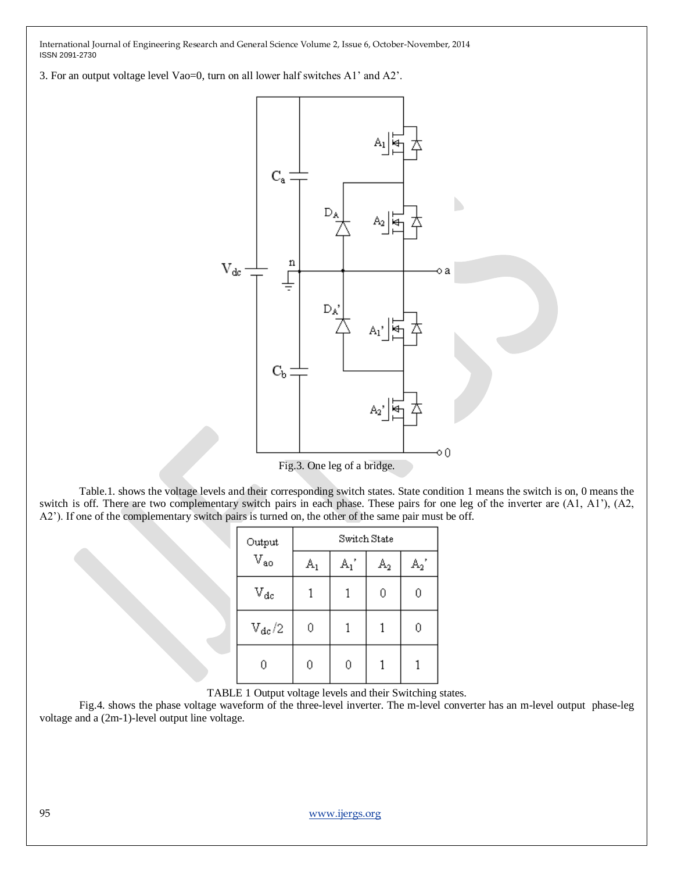3. For an output voltage level Vao=0, turn on all lower half switches A1' and A2'.



Fig.3. One leg of a bridge.

Table.1. shows the voltage levels and their corresponding switch states. State condition 1 means the switch is on, 0 means the switch is off. There are two complementary switch pairs in each phase. These pairs for one leg of the inverter are (A1, A1'), (A2, A2'). If one of the complementary switch pairs is turned on, the other of the same pair must be off.

| Output       | Switch State   |                   |                |                  |
|--------------|----------------|-------------------|----------------|------------------|
| $\rm V_{ao}$ | A <sub>1</sub> | $\mathbb{A}_1{}'$ | $\mathbb{A}_2$ | $\mathbb{A}_2$ ' |
| $V_{dc}$     |                |                   | 0              |                  |
| $V_{dc}/2$   | 0              |                   |                |                  |
| 0            |                |                   |                |                  |

TABLE 1 Output voltage levels and their Switching states.

Fig.4. shows the phase voltage waveform of the three-level inverter. The m-level converter has an m-level output phase-leg voltage and a (2m-1)-level output line voltage.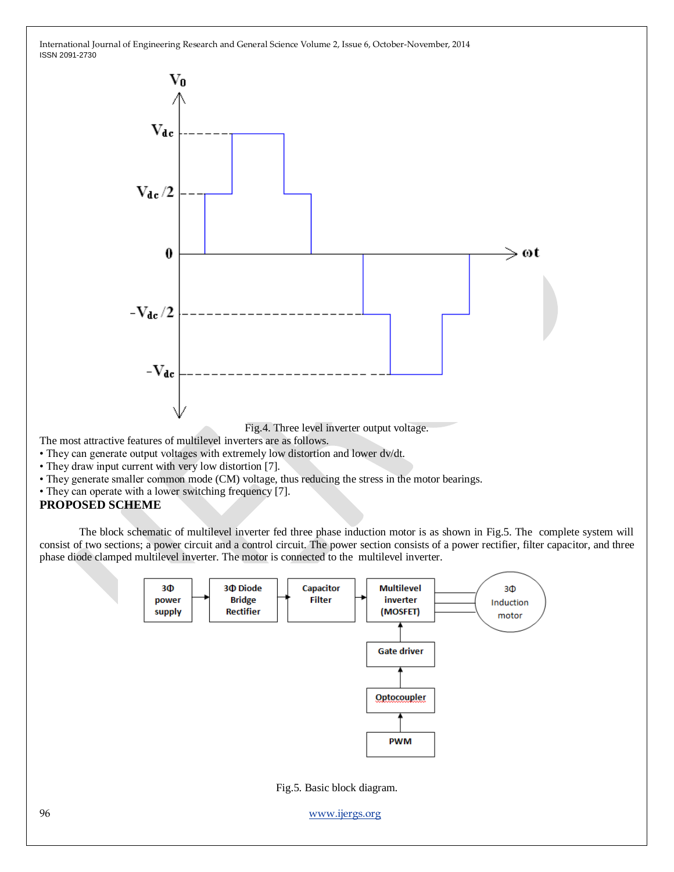

The most attractive features of multilevel inverters are as follows.

- They can generate output voltages with extremely low distortion and lower dv/dt.
- They draw input current with very low distortion [7].
- They generate smaller common mode (CM) voltage, thus reducing the stress in the motor bearings.
- They can operate with a lower switching frequency [7].

# **PROPOSED SCHEME**

The block schematic of multilevel inverter fed three phase induction motor is as shown in Fig.5. The complete system will consist of two sections; a power circuit and a control circuit. The power section consists of a power rectifier, filter capacitor, and three phase diode clamped multilevel inverter. The motor is connected to the multilevel inverter.



Fig.5. Basic block diagram.

96 [www.ijergs.org](http://www.ijergs.org/)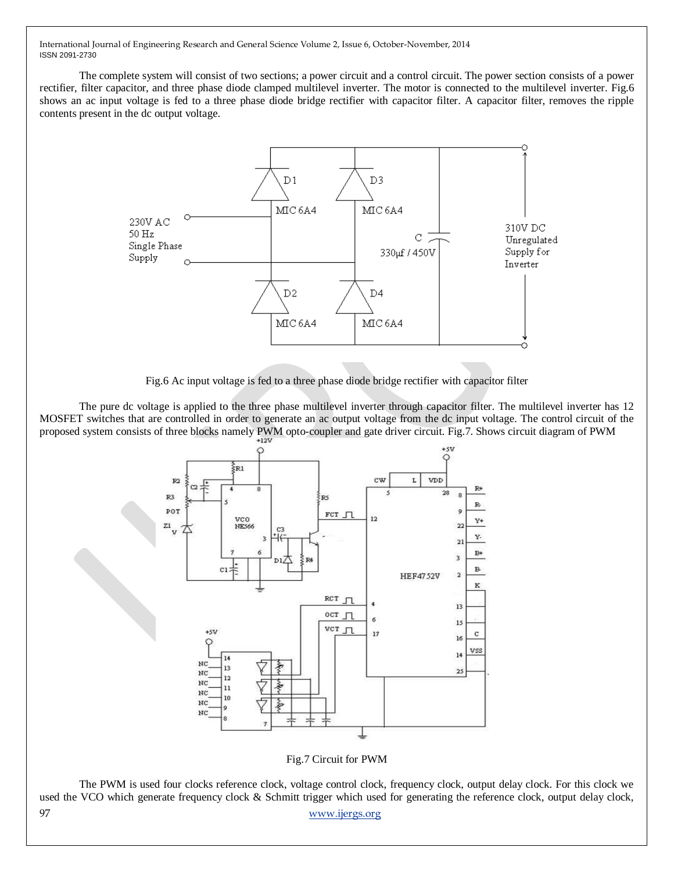The complete system will consist of two sections; a power circuit and a control circuit. The power section consists of a power rectifier, filter capacitor, and three phase diode clamped multilevel inverter. The motor is connected to the multilevel inverter. Fig.6 shows an ac input voltage is fed to a three phase diode bridge rectifier with capacitor filter. A capacitor filter, removes the ripple contents present in the dc output voltage.



Fig.6 Ac input voltage is fed to a three phase diode bridge rectifier with capacitor filter

The pure dc voltage is applied to the three phase multilevel inverter through capacitor filter. The multilevel inverter has 12 MOSFET switches that are controlled in order to generate an ac output voltage from the dc input voltage. The control circuit of the proposed system consists of three blocks namely PWM opto-coupler and gate driver circuit. Fig.7. Shows circuit diagram of PWM



Fig.7 Circuit for PWM

97 [www.ijergs.org](http://www.ijergs.org/) The PWM is used four clocks reference clock, voltage control clock, frequency clock, output delay clock. For this clock we used the VCO which generate frequency clock & Schmitt trigger which used for generating the reference clock, output delay clock,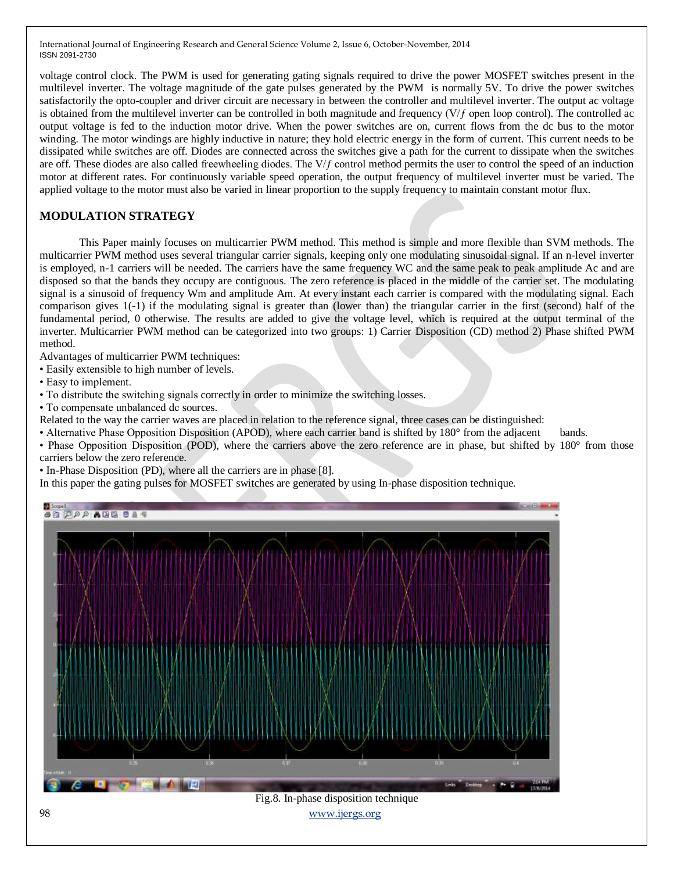voltage control clock. The PWM is used for generating gating signals required to drive the power MOSFET switches present in the multilevel inverter. The voltage magnitude of the gate pulses generated by the PWM is normally 5V. To drive the power switches satisfactorily the opto-coupler and driver circuit are necessary in between the controller and multilevel inverter. The output ac voltage is obtained from the multilevel inverter can be controlled in both magnitude and frequency (V/f open loop control). The controlled ac output voltage is fed to the induction motor drive. When the power switches are on, current flows from the dc bus to the motor winding. The motor windings are highly inductive in nature; they hold electric energy in the form of current. This current needs to be dissipated while switches are off. Diodes are connected across the switches give a path for the current to dissipate when the switches are off. These diodes are also called freewheeling diodes. The  $V/f$  control method permits the user to control the speed of an induction motor at different rates. For continuously variable speed operation, the output frequency of multilevel inverter must be varied. The applied voltage to the motor must also be varied in linear proportion to the supply frequency to maintain constant motor flux.

# **MODULATION STRATEGY**

This Paper mainly focuses on multicarrier PWM method. This method is simple and more flexible than SVM methods. The multicarrier PWM method uses several triangular carrier signals, keeping only one modulating sinusoidal signal. If an n-level inverter is employed, n-1 carriers will be needed. The carriers have the same frequency WC and the same peak to peak amplitude Ac and are disposed so that the bands they occupy are contiguous. The zero reference is placed in the middle of the carrier set. The modulating signal is a sinusoid of frequency Wm and amplitude Am. At every instant each carrier is compared with the modulating signal. Each comparison gives 1(-1) if the modulating signal is greater than (lower than) the triangular carrier in the first (second) half of the fundamental period, 0 otherwise. The results are added to give the voltage level, which is required at the output terminal of the inverter. Multicarrier PWM method can be categorized into two groups: 1) Carrier Disposition (CD) method 2) Phase shifted PWM method.

Advantages of multicarrier PWM techniques:

• Easily extensible to high number of levels.

• Easy to implement.

- To distribute the switching signals correctly in order to minimize the switching losses.
- To compensate unbalanced dc sources.
- Related to the way the carrier waves are placed in relation to the reference signal, three cases can be distinguished:
- Alternative Phase Opposition Disposition (APOD), where each carrier band is shifted by 180° from the adjacent bands.

• Phase Opposition Disposition (POD), where the carriers above the zero reference are in phase, but shifted by 180° from those carriers below the zero reference.

• In-Phase Disposition (PD), where all the carriers are in phase [8].

In this paper the gating pulses for MOSFET switches are generated by using In-phase disposition technique.

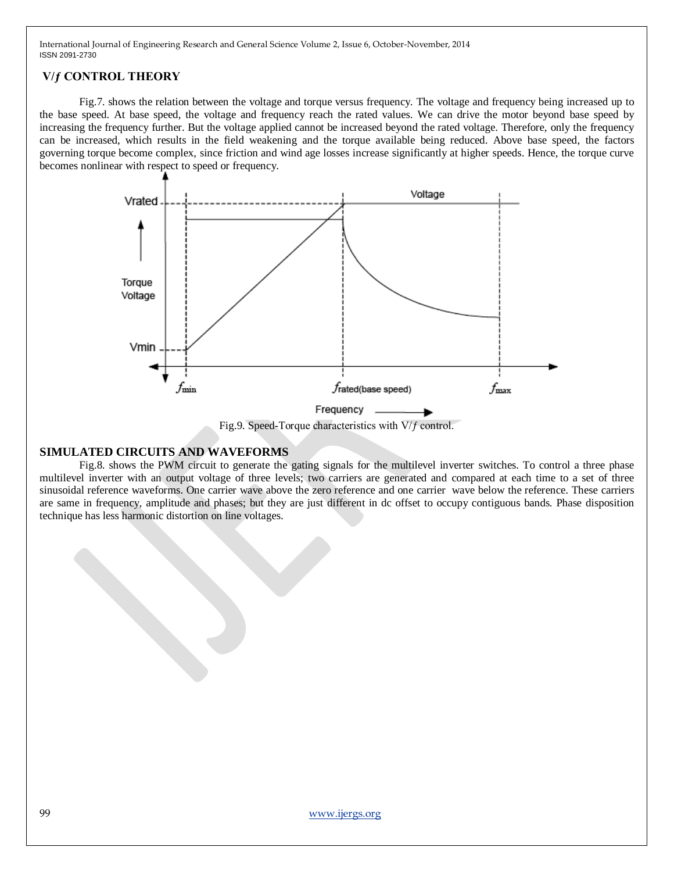# **V/ƒ CONTROL THEORY**

Fig.7. shows the relation between the voltage and torque versus frequency. The voltage and frequency being increased up to the base speed. At base speed, the voltage and frequency reach the rated values. We can drive the motor beyond base speed by increasing the frequency further. But the voltage applied cannot be increased beyond the rated voltage. Therefore, only the frequency can be increased, which results in the field weakening and the torque available being reduced. Above base speed, the factors governing torque become complex, since friction and wind age losses increase significantly at higher speeds. Hence, the torque curve becomes nonlinear with respect to speed or frequency.



# **SIMULATED CIRCUITS AND WAVEFORMS**

Fig.8. shows the PWM circuit to generate the gating signals for the multilevel inverter switches. To control a three phase multilevel inverter with an output voltage of three levels; two carriers are generated and compared at each time to a set of three sinusoidal reference waveforms. One carrier wave above the zero reference and one carrier wave below the reference. These carriers are same in frequency, amplitude and phases; but they are just different in dc offset to occupy contiguous bands. Phase disposition technique has less harmonic distortion on line voltages.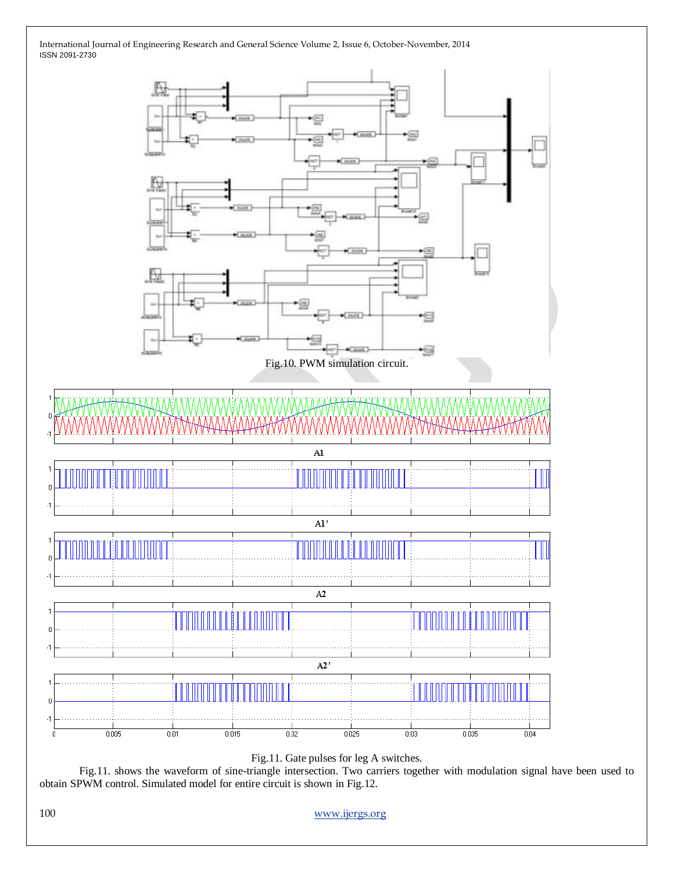

Fig.11. Gate pulses for leg A switches.

Fig.11. shows the waveform of sine-triangle intersection. Two carriers together with modulation signal have been used to obtain SPWM control. Simulated model for entire circuit is shown in Fig.12.

100 [www.ijergs.org](http://www.ijergs.org/)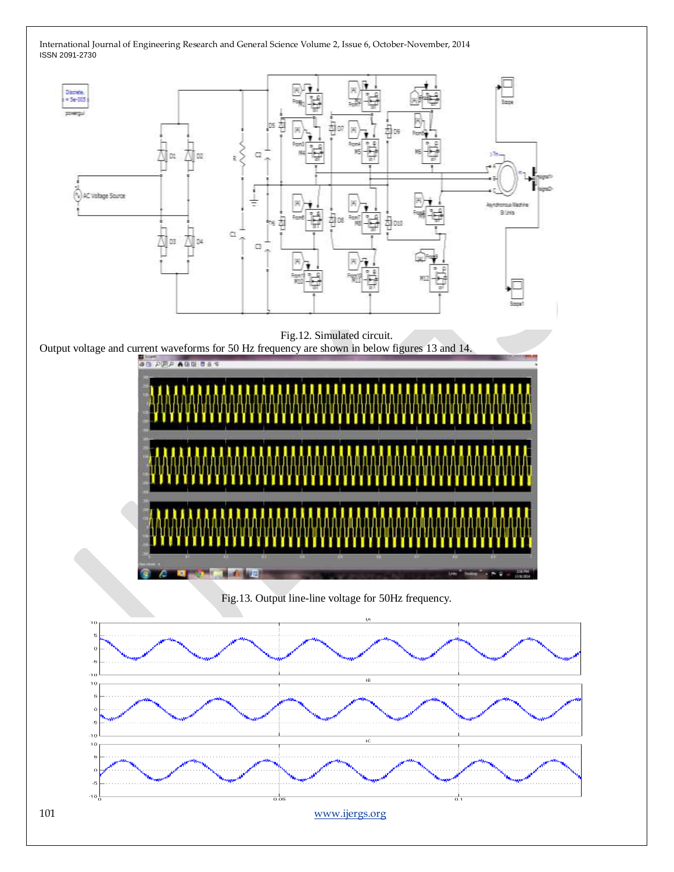

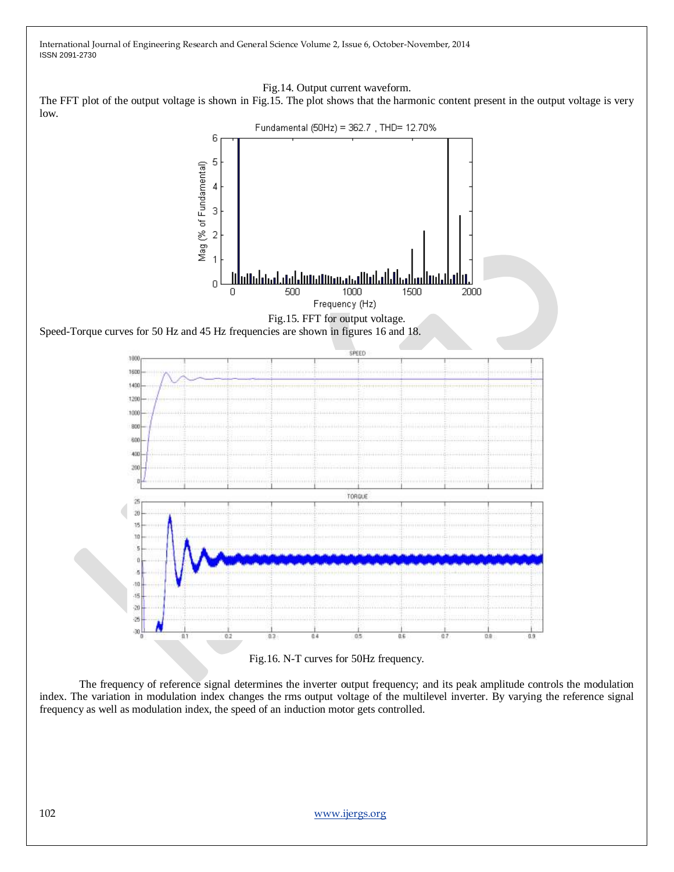

The FFT plot of the output voltage is shown in Fig.15. The plot shows that the harmonic content present in the output voltage is very low.





The frequency of reference signal determines the inverter output frequency; and its peak amplitude controls the modulation index. The variation in modulation index changes the rms output voltage of the multilevel inverter. By varying the reference signal frequency as well as modulation index, the speed of an induction motor gets controlled.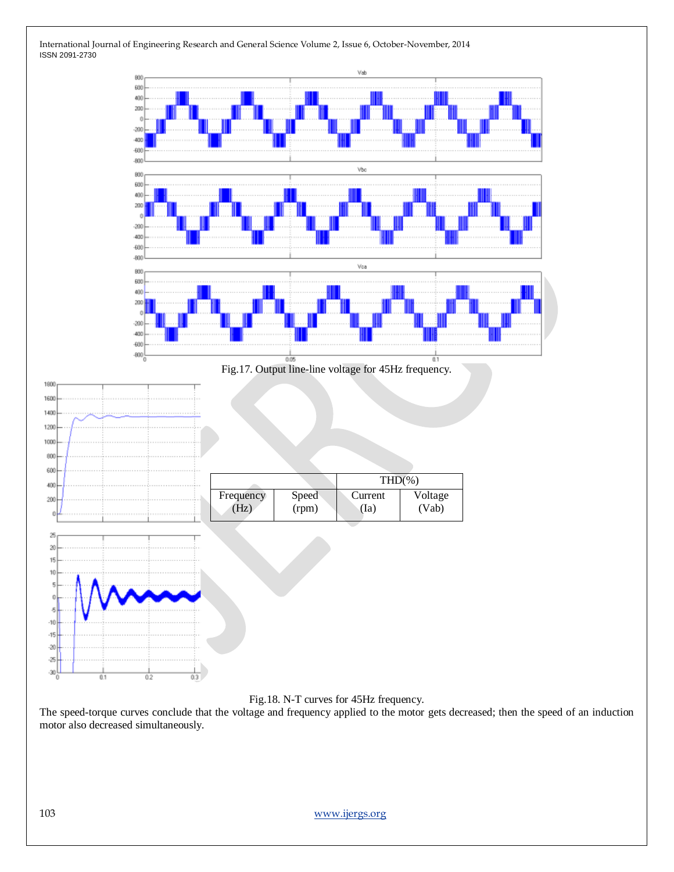



Fig.18. N-T curves for 45Hz frequency.

The speed-torque curves conclude that the voltage and frequency applied to the motor gets decreased; then the speed of an induction motor also decreased simultaneously.